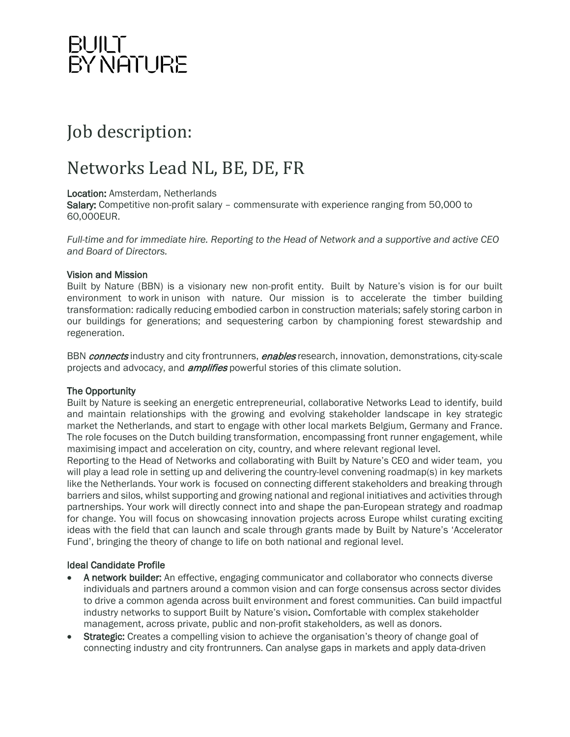## BUILT<br>BY NATURE

### Job description:

### Networks Lead NL, BE, DE, FR

#### Location: Amsterdam, Netherlands

Salary: Competitive non-profit salary - commensurate with experience ranging from 50,000 to 60,000EUR.

*Full-time and for immediate hire. Reporting to the Head of Network and a supportive and active CEO and Board of Directors.*

#### Vision and Mission

Built by Nature (BBN) is a visionary new non-profit entity. Built by Nature's vision is for our built environment to work in unison with nature. Our mission is to accelerate the timber building transformation: radically reducing embodied carbon in construction materials; safely storing carbon in our buildings for generations; and sequestering carbon by championing forest stewardship and regeneration.

BBN *connects* industry and city frontrunners, *enables* research, innovation, demonstrations, city-scale projects and advocacy, and *amplifies* powerful stories of this climate solution.

### The Opportunity

Built by Nature is seeking an energetic entrepreneurial, collaborative Networks Lead to identify, build and maintain relationships with the growing and evolving stakeholder landscape in key strategic market the Netherlands, and start to engage with other local markets Belgium, Germany and France. The role focuses on the Dutch building transformation, encompassing front runner engagement, while maximising impact and acceleration on city, country, and where relevant regional level.

Reporting to the Head of Networks and collaborating with Built by Nature's CEO and wider team, you will play a lead role in setting up and delivering the country-level convening roadmap(s) in key markets like the Netherlands. Your work is focused on connecting different stakeholders and breaking through barriers and silos, whilst supporting and growing national and regional initiatives and activities through partnerships. Your work will directly connect into and shape the pan-European strategy and roadmap for change. You will focus on showcasing innovation projects across Europe whilst curating exciting ideas with the field that can launch and scale through grants made by Built by Nature's 'Accelerator Fund', bringing the theory of change to life on both national and regional level.

#### Ideal Candidate Profile

- A network builder: An effective, engaging communicator and collaborator who connects diverse individuals and partners around a common vision and can forge consensus across sector divides to drive a common agenda across built environment and forest communities. Can build impactful industry networks to support Built by Nature's vision. Comfortable with complex stakeholder management, across private, public and non-profit stakeholders, as well as donors.
- **Strategic:** Creates a compelling vision to achieve the organisation's theory of change goal of connecting industry and city frontrunners. Can analyse gaps in markets and apply data-driven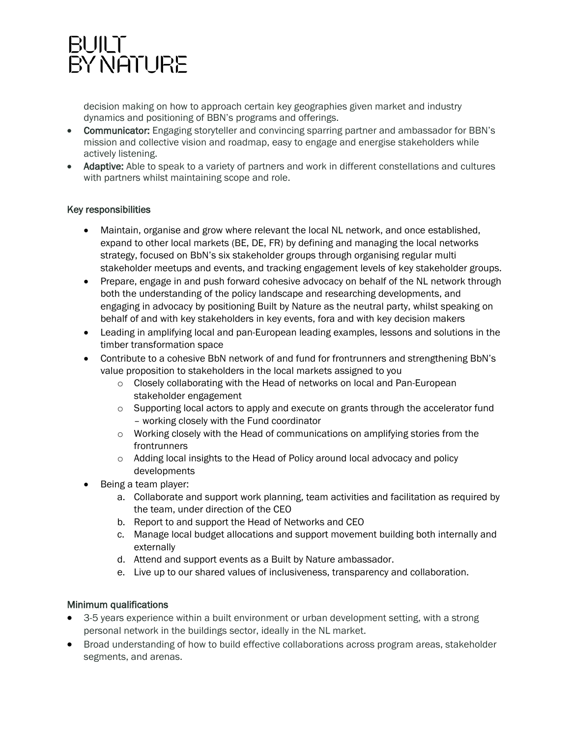## BUILT<br>BY NATURE

decision making on how to approach certain key geographies given market and industry dynamics and positioning of BBN's programs and offerings.

- Communicator: Engaging storyteller and convincing sparring partner and ambassador for BBN's mission and collective vision and roadmap, easy to engage and energise stakeholders while actively listening.
- Adaptive: Able to speak to a variety of partners and work in different constellations and cultures with partners whilst maintaining scope and role.

### Key responsibilities

- Maintain, organise and grow where relevant the local NL network, and once established, expand to other local markets (BE, DE, FR) by defining and managing the local networks strategy, focused on BbN's six stakeholder groups through organising regular multi stakeholder meetups and events, and tracking engagement levels of key stakeholder groups.
- Prepare, engage in and push forward cohesive advocacy on behalf of the NL network through both the understanding of the policy landscape and researching developments, and engaging in advocacy by positioning Built by Nature as the neutral party, whilst speaking on behalf of and with key stakeholders in key events, fora and with key decision makers
- Leading in amplifying local and pan-European leading examples, lessons and solutions in the timber transformation space
- Contribute to a cohesive BbN network of and fund for frontrunners and strengthening BbN's value proposition to stakeholders in the local markets assigned to you
	- o Closely collaborating with the Head of networks on local and Pan-European stakeholder engagement
	- o Supporting local actors to apply and execute on grants through the accelerator fund – working closely with the Fund coordinator
	- $\circ$  Working closely with the Head of communications on amplifying stories from the frontrunners
	- o Adding local insights to the Head of Policy around local advocacy and policy developments
- Being a team player:
	- a. Collaborate and support work planning, team activities and facilitation as required by the team, under direction of the CEO
	- b. Report to and support the Head of Networks and CEO
	- c. Manage local budget allocations and support movement building both internally and externally
	- d. Attend and support events as a Built by Nature ambassador.
	- e. Live up to our shared values of inclusiveness, transparency and collaboration.

### Minimum qualifications

- 3-5 years experience within a built environment or urban development setting, with a strong personal network in the buildings sector, ideally in the NL market.
- Broad understanding of how to build effective collaborations across program areas, stakeholder segments, and arenas.